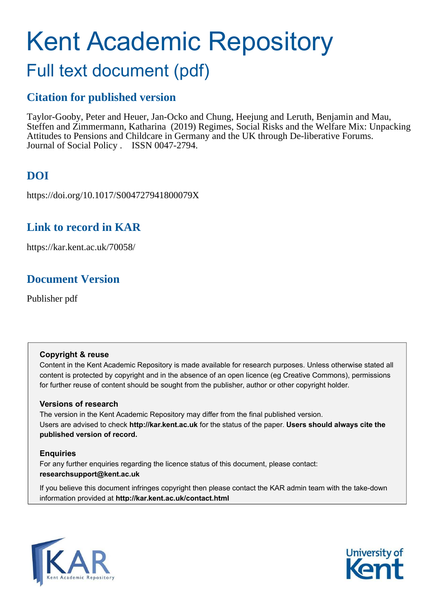# Kent Academic Repository

## Full text document (pdf)

## **Citation for published version**

Taylor-Gooby, Peter and Heuer, Jan-Ocko and Chung, Heejung and Leruth, Benjamin and Mau, Steffen and Zimmermann, Katharina (2019) Regimes, Social Risks and the Welfare Mix: Unpacking Attitudes to Pensions and Childcare in Germany and the UK through De-liberative Forums. Journal of Social Policy . ISSN 0047-2794.

## **DOI**

https://doi.org/10.1017/S004727941800079X

## **Link to record in KAR**

https://kar.kent.ac.uk/70058/

## **Document Version**

Publisher pdf

#### **Copyright & reuse**

Content in the Kent Academic Repository is made available for research purposes. Unless otherwise stated all content is protected by copyright and in the absence of an open licence (eg Creative Commons), permissions for further reuse of content should be sought from the publisher, author or other copyright holder.

#### **Versions of research**

The version in the Kent Academic Repository may differ from the final published version. Users are advised to check **http://kar.kent.ac.uk** for the status of the paper. **Users should always cite the published version of record.**

#### **Enquiries**

For any further enquiries regarding the licence status of this document, please contact: **researchsupport@kent.ac.uk**

If you believe this document infringes copyright then please contact the KAR admin team with the take-down information provided at **http://kar.kent.ac.uk/contact.html**



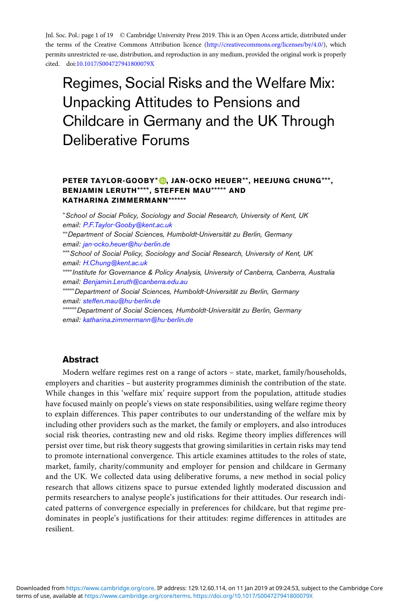Jnl. Soc. Pol.: page 1 of 19 © Cambridge University Press 2019. This is an Open Access article, distributed under the terms of the Creative Commons Attribution licence ([http://creativecommons.org/licenses/by/4.0/\)](Undefined namespace prefix), which permits unrestricted re-use, distribution, and reproduction in any medium, provided the original work is properly cited. doi:[10.1017/S004727941800079X](https://doi.org/10.1017/S004727941800079X)

## Regimes, Social Risks and the Welfare Mix: Unpacking Attitudes to Pensions and Childcare in Germany and the UK Through Deliberative Forums

#### PETER TAYLOR-GOOBY\*®[,](http://orcid.org/0000-0002-4825-1250) JAN-OCKO HEUER\*\*, HEEJUNG CHUNG\*\*\*, BENJAMIN LERUTH∗∗∗∗, STEFFEN MAU∗∗∗∗∗ AND KATHARINA ZIMMERMANN∗∗∗∗∗∗

<sup>∗</sup>School of Social Policy, Sociology and Social Research, University of Kent, UK email: [P.F.Taylor-Gooby@kent.ac.uk](mailto:P.F.Taylor-Gooby@kent.ac.uk) ∗∗Department of Social Sciences, Humboldt-Universität zu Berlin, Germany email: [jan-ocko.heuer@hu-berlin.de](mailto:jan-ocko.heuer@hu-berlin.de) ∗∗∗School of Social Policy, Sociology and Social Research, University of Kent, UK email: [H.Chung@kent.ac.uk](mailto:H.Chung@kent.ac.uk) ∗∗∗∗Institute for Governance & Policy Analysis, University of Canberra, Canberra, Australia email: [Benjamin.Leruth@canberra.edu.au](mailto:Benjamin.Leruth@canberra.edu.au) ∗∗∗∗∗Department of Social Sciences, Humboldt-Universität zu Berlin, Germany email: [steffen.mau@hu-berlin.de](mailto:steffen.mau@hu-berlin.de) ∗∗∗∗∗∗Department of Social Sciences, Humboldt-Universität zu Berlin, Germany email: [katharina.zimmermann@hu-berlin.de](mailto:katharina.zimmermann@hu-berlin.de)

#### Abstract

Modern welfare regimes rest on a range of actors – state, market, family/households, employers and charities – but austerity programmes diminish the contribution of the state. While changes in this 'welfare mix' require support from the population, attitude studies have focused mainly on people's views on state responsibilities, using welfare regime theory to explain differences. This paper contributes to our understanding of the welfare mix by including other providers such as the market, the family or employers, and also introduces social risk theories, contrasting new and old risks. Regime theory implies differences will persist over time, but risk theory suggests that growing similarities in certain risks may tend to promote international convergence. This article examines attitudes to the roles of state, market, family, charity/community and employer for pension and childcare in Germany and the UK. We collected data using deliberative forums, a new method in social policy research that allows citizens space to pursue extended lightly moderated discussion and permits researchers to analyse people's justifications for their attitudes. Our research indicated patterns of convergence especially in preferences for childcare, but that regime predominates in people's justifications for their attitudes: regime differences in attitudes are resilient.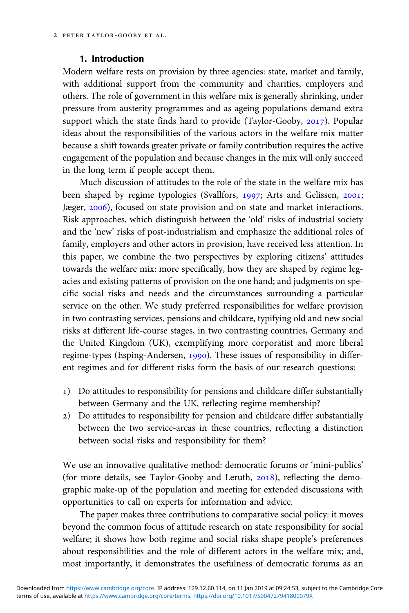#### 1. Introduction

<span id="page-2-0"></span>Modern welfare rests on provision by three agencies: state, market and family, with additional support from the community and charities, employers and others. The role of government in this welfare mix is generally shrinking, under pressure from austerity programmes and as ageing populations demand extra support which the state finds hard to provide (Taylor-Gooby,  $2017$ ). Popular ideas about the responsibilities of the various actors in the welfare mix matter because a shift towards greater private or family contribution requires the active engagement of the population and because changes in the mix will only succeed in the long term if people accept them.

Much discussion of attitudes to the role of the state in the welfare mix has been shaped by regime typologies (Svallfors, 1997; Arts and Gelissen, 2001; Jæger, 2006), focused on state provision and on state and market interactions. Risk approaches, which distinguish between the 'old' risks of industrial society and the 'new' risks of post-industrialism and emphasize the additional roles of family, employers and other actors in provision, have received less attention. In this paper, we combine the two perspectives by exploring citizens' attitudes towards the welfare mix: more specifically, how they are shaped by regime legacies and existing patterns of provision on the one hand; and judgments on specific social risks and needs and the circumstances surrounding a particular service on the other. We study preferred responsibilities for welfare provision in two contrasting services, pensions and childcare, typifying old and new social risks at different life-course stages, in two contrasting countries, Germany and the United Kingdom (UK), exemplifying more corporatist and more liberal regime-types (Esping-Andersen, 1990). These issues of responsibility in different regimes and for different risks form the basis of our research questions:

- ) Do attitudes to responsibility for pensions and childcare differ substantially between Germany and the UK, reflecting regime membership?
- ) Do attitudes to responsibility for pension and childcare differ substantially between the two service-areas in these countries, reflecting a distinction between social risks and responsibility for them?

We use an innovative qualitative method: democratic forums or 'mini-publics' (for more details, see Taylor-Gooby and Leruth,  $2018$ ), reflecting the demographic make-up of the population and meeting for extended discussions with opportunities to call on experts for information and advice.

The paper makes three contributions to comparative social policy: it moves beyond the common focus of attitude research on state responsibility for social welfare; it shows how both regime and social risks shape people's preferences about responsibilities and the role of different actors in the welfare mix; and, most importantly, it demonstrates the usefulness of democratic forums as an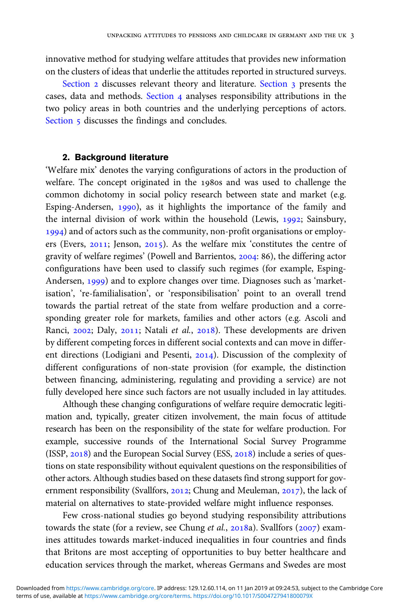innovative method for studying welfare attitudes that provides new information on the clusters of ideas that underlie the attitudes reported in structured surveys.

[Section](#page-4-0) 2 discusses relevant theory and literature. Section 3 presents the cases, data and methods. [Section](#page-8-0) 4 analyses responsibility attributions in the two policy areas in both countries and the underlying perceptions of actors. [Section](#page-13-0) 5 discusses the findings and concludes.

#### 2. Background literature

'Welfare mix' denotes the varying configurations of actors in the production of welfare. The concept originated in the 1980s and was used to challenge the common dichotomy in social policy research between state and market (e.g. Esping-Andersen, 1990), as it highlights the importance of the family and the internal division of work within the household (Lewis, 1992; Sainsbury, 1994) and of actors such as the community, non-profit organisations or employers (Evers,  $2011$ ; Jenson,  $2015$ ). As the welfare mix 'constitutes the centre of gravity of welfare regimes' (Powell and Barrientos, 2004: 86), the differing actor configurations have been used to classify such regimes (for example, Esping-Andersen, 1999) and to explore changes over time. Diagnoses such as 'marketisation', 're-familialisation', or 'responsibilisation' point to an overall trend towards the partial retreat of the state from welfare production and a corresponding greater role for markets, families and other actors (e.g. Ascoli and Ranci, 2002; Daly, 2011; Natali et al., 2018). These developments are driven by different competing forces in different social contexts and can move in different directions (Lodigiani and Pesenti, 2014). Discussion of the complexity of different configurations of non-state provision (for example, the distinction between financing, administering, regulating and providing a service) are not fully developed here since such factors are not usually included in lay attitudes.

Although these changing configurations of welfare require democratic legitimation and, typically, greater citizen involvement, the main focus of attitude research has been on the responsibility of the state for welfare production. For example, successive rounds of the International Social Survey Programme (ISSP,  $2018$ ) and the European Social Survey (ESS,  $2018$ ) include a series of questions on state responsibility without equivalent questions on the responsibilities of other actors. Although studies based on these datasets find strong support for government responsibility (Svallfors, 2012; Chung and Meuleman, 2017), the lack of material on alternatives to state-provided welfare might influence responses.

Few cross-national studies go beyond studying responsibility attributions towards the state (for a review, see Chung *et al.*, 2018a). Svallfors (2007) examines attitudes towards market-induced inequalities in four countries and finds that Britons are most accepting of opportunities to buy better healthcare and education services through the market, whereas Germans and Swedes are most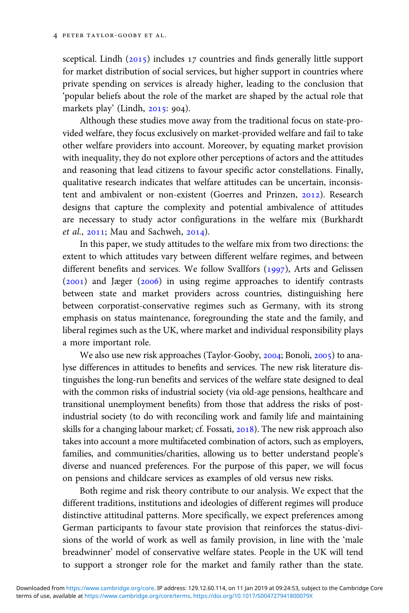<span id="page-4-0"></span>sceptical. Lindh  $(2015)$  includes  $17$  countries and finds generally little support for market distribution of social services, but higher support in countries where private spending on services is already higher, leading to the conclusion that 'popular beliefs about the role of the market are shaped by the actual role that markets play' (Lindh, 2015: 904).

Although these studies move away from the traditional focus on state-provided welfare, they focus exclusively on market-provided welfare and fail to take other welfare providers into account. Moreover, by equating market provision with inequality, they do not explore other perceptions of actors and the attitudes and reasoning that lead citizens to favour specific actor constellations. Finally, qualitative research indicates that welfare attitudes can be uncertain, inconsistent and ambivalent or non-existent (Goerres and Prinzen, 2012). Research designs that capture the complexity and potential ambivalence of attitudes are necessary to study actor configurations in the welfare mix (Burkhardt *et al.*, 2011; Mau and Sachweh, 2014).

In this paper, we study attitudes to the welfare mix from two directions: the extent to which attitudes vary between different welfare regimes, and between different benefits and services. We follow Svallfors  $(1997)$ , Arts and Gelissen  $(2001)$  and Jæger  $(2006)$  in using regime approaches to identify contrasts between state and market providers across countries, distinguishing here between corporatist-conservative regimes such as Germany, with its strong emphasis on status maintenance, foregrounding the state and the family, and liberal regimes such as the UK, where market and individual responsibility plays a more important role.

We also use new risk approaches (Taylor-Gooby, 2004; Bonoli, 2005) to analyse differences in attitudes to benefits and services. The new risk literature distinguishes the long-run benefits and services of the welfare state designed to deal with the common risks of industrial society (via old-age pensions, healthcare and transitional unemployment benefits) from those that address the risks of postindustrial society (to do with reconciling work and family life and maintaining skills for a changing labour market; cf. Fossati,  $2018$ ). The new risk approach also takes into account a more multifaceted combination of actors, such as employers, families, and communities/charities, allowing us to better understand people's diverse and nuanced preferences. For the purpose of this paper, we will focus on pensions and childcare services as examples of old versus new risks.

Both regime and risk theory contribute to our analysis. We expect that the different traditions, institutions and ideologies of different regimes will produce distinctive attitudinal patterns. More specifically, we expect preferences among German participants to favour state provision that reinforces the status-divisions of the world of work as well as family provision, in line with the 'male breadwinner' model of conservative welfare states. People in the UK will tend to support a stronger role for the market and family rather than the state.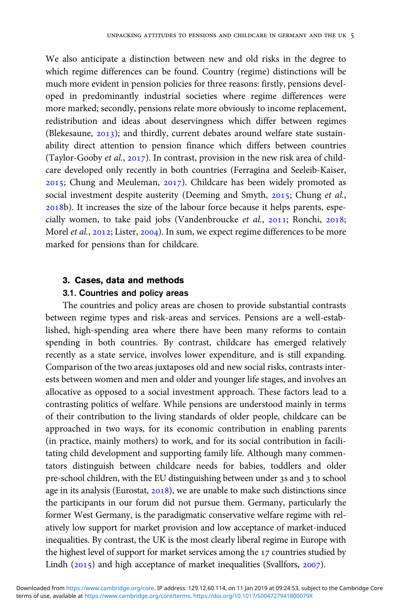We also anticipate a distinction between new and old risks in the degree to which regime differences can be found. Country (regime) distinctions will be much more evident in pension policies for three reasons: firstly, pensions developed in predominantly industrial societies where regime differences were more marked; secondly, pensions relate more obviously to income replacement, redistribution and ideas about deservingness which differ between regimes (Blekesaune,  $2013$ ); and thirdly, current debates around welfare state sustainability direct attention to pension finance which differs between countries (Taylor-Gooby *et al.*, 2017). In contrast, provision in the new risk area of childcare developed only recently in both countries (Ferragina and Seeleib-Kaiser,  $2015$ ; Chung and Meuleman,  $2017$ ). Childcare has been widely promoted as social investment despite austerity (Deeming and Smyth, 2015; Chung et al., 2018b). It increases the size of the labour force because it helps parents, especially women, to take paid jobs (Vandenbroucke et al., 2011; Ronchi, 2018; Morel *et al.*, 2012; Lister, 2004). In sum, we expect regime differences to be more marked for pensions than for childcare.

#### 3. Cases, data and methods

#### 3.1. Countries and policy areas

The countries and policy areas are chosen to provide substantial contrasts between regime types and risk-areas and services. Pensions are a well-established, high-spending area where there have been many reforms to contain spending in both countries. By contrast, childcare has emerged relatively recently as a state service, involves lower expenditure, and is still expanding. Comparison of the two areas juxtaposes old and new social risks, contrasts interests between women and men and older and younger life stages, and involves an allocative as opposed to a social investment approach. These factors lead to a contrasting politics of welfare. While pensions are understood mainly in terms of their contribution to the living standards of older people, childcare can be approached in two ways, for its economic contribution in enabling parents (in practice, mainly mothers) to work, and for its social contribution in facilitating child development and supporting family life. Although many commentators distinguish between childcare needs for babies, toddlers and older pre-school children, with the EU distinguishing between under 3s and 3 to school age in its analysis (Eurostat,  $2018$ ), we are unable to make such distinctions since the participants in our forum did not pursue them. Germany, particularly the former West Germany, is the paradigmatic conservative welfare regime with relatively low support for market provision and low acceptance of market-induced inequalities. By contrast, the UK is the most clearly liberal regime in Europe with the highest level of support for market services among the 17 countries studied by Lindh  $(2015)$  and high acceptance of market inequalities (Svallfors,  $2007$ ).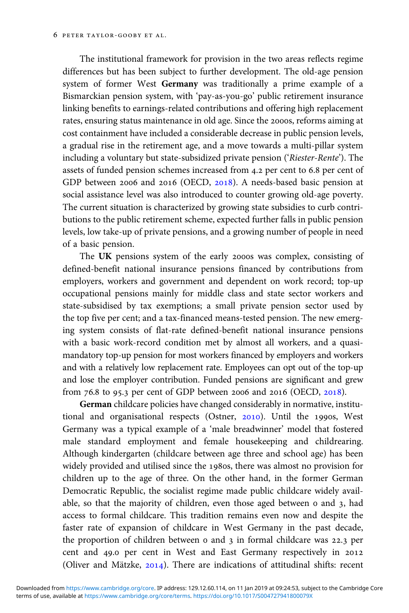The institutional framework for provision in the two areas reflects regime differences but has been subject to further development. The old-age pension system of former West Germany was traditionally a prime example of a Bismarckian pension system, with 'pay-as-you-go' public retirement insurance linking benefits to earnings-related contributions and offering high replacement rates, ensuring status maintenance in old age. Since the 2000s, reforms aiming at cost containment have included a considerable decrease in public pension levels, a gradual rise in the retirement age, and a move towards a multi-pillar system including a voluntary but state-subsidized private pension ('*Riester-Rente*'). The assets of funded pension schemes increased from 4.2 per cent to 6.8 per cent of GDP between 2006 and 2016 (OECD, 2018). A needs-based basic pension at social assistance level was also introduced to counter growing old-age poverty. The current situation is characterized by growing state subsidies to curb contributions to the public retirement scheme, expected further falls in public pension levels, low take-up of private pensions, and a growing number of people in need of a basic pension.

The UK pensions system of the early 2000s was complex, consisting of defined-benefit national insurance pensions financed by contributions from employers, workers and government and dependent on work record; top-up occupational pensions mainly for middle class and state sector workers and state-subsidised by tax exemptions; a small private pension sector used by the top five per cent; and a tax-financed means-tested pension. The new emerging system consists of flat-rate defined-benefit national insurance pensions with a basic work-record condition met by almost all workers, and a quasimandatory top-up pension for most workers financed by employers and workers and with a relatively low replacement rate. Employees can opt out of the top-up and lose the employer contribution. Funded pensions are significant and grew from 76.8 to 95.3 per cent of GDP between 2006 and 2016 (OECD, 2018).

German childcare policies have changed considerably in normative, institutional and organisational respects (Ostner, 2010). Until the 1990s, West Germany was a typical example of a 'male breadwinner' model that fostered male standard employment and female housekeeping and childrearing. Although kindergarten (childcare between age three and school age) has been widely provided and utilised since the 1980s, there was almost no provision for children up to the age of three. On the other hand, in the former German Democratic Republic, the socialist regime made public childcare widely available, so that the majority of children, even those aged between o and 3, had access to formal childcare. This tradition remains even now and despite the faster rate of expansion of childcare in West Germany in the past decade, the proportion of children between o and 3 in formal childcare was 22.3 per cent and 49.0 per cent in West and East Germany respectively in 2012 (Oliver and Mätzke,  $2014$ ). There are indications of attitudinal shifts: recent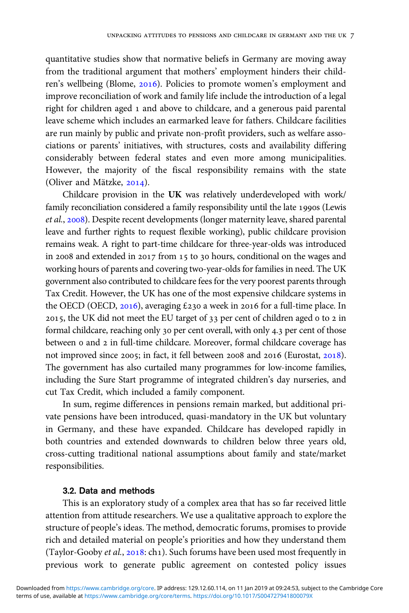quantitative studies show that normative beliefs in Germany are moving away from the traditional argument that mothers' employment hinders their children's wellbeing (Blome, 2016). Policies to promote women's employment and improve reconciliation of work and family life include the introduction of a legal right for children aged 1 and above to childcare, and a generous paid parental leave scheme which includes an earmarked leave for fathers. Childcare facilities are run mainly by public and private non-profit providers, such as welfare associations or parents' initiatives, with structures, costs and availability differing considerably between federal states and even more among municipalities. However, the majority of the fiscal responsibility remains with the state (Oliver and Mätzke,  $2014$ ).

Childcare provision in the UK was relatively underdeveloped with work/ family reconciliation considered a family responsibility until the late 1990s (Lewis *et al.*, 2008). Despite recent developments (longer maternity leave, shared parental leave and further rights to request flexible working), public childcare provision remains weak. A right to part-time childcare for three-year-olds was introduced in 2008 and extended in 2017 from 15 to 30 hours, conditional on the wages and working hours of parents and covering two-year-olds for families in need. The UK government also contributed to childcare fees for the very poorest parents through Tax Credit. However, the UK has one of the most expensive childcare systems in the OECD (OECD,  $2016$ ), averaging £230 a week in 2016 for a full-time place. In 2015, the UK did not meet the EU target of  $33$  per cent of children aged o to 2 in formal childcare, reaching only 30 per cent overall, with only 4.3 per cent of those between o and 2 in full-time childcare. Moreover, formal childcare coverage has not improved since 2005; in fact, it fell between 2008 and 2016 (Eurostat, 2018). The government has also curtailed many programmes for low-income families, including the Sure Start programme of integrated children's day nurseries, and cut Tax Credit, which included a family component.

In sum, regime differences in pensions remain marked, but additional private pensions have been introduced, quasi-mandatory in the UK but voluntary in Germany, and these have expanded. Childcare has developed rapidly in both countries and extended downwards to children below three years old, cross-cutting traditional national assumptions about family and state/market responsibilities.

#### 3.2. Data and methods

This is an exploratory study of a complex area that has so far received little attention from attitude researchers. We use a qualitative approach to explore the structure of people's ideas. The method, democratic forums, promises to provide rich and detailed material on people's priorities and how they understand them (Taylor-Gooby *et al.*, 2018: ch1). Such forums have been used most frequently in previous work to generate public agreement on contested policy issues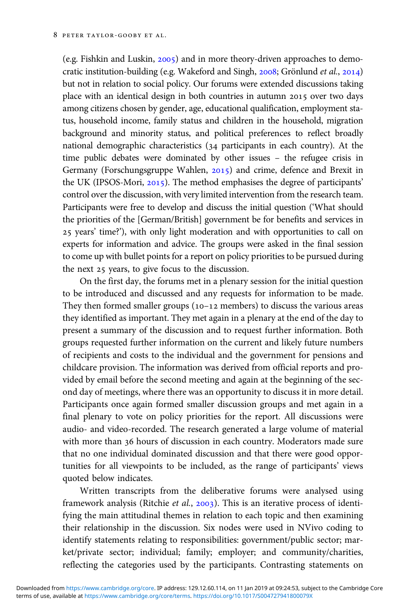<span id="page-8-0"></span>(e.g. Fishkin and Luskin,  $2005$ ) and in more theory-driven approaches to democratic institution-building (e.g. Wakeford and Singh, 2008; Grönlund et al., 2014) but not in relation to social policy. Our forums were extended discussions taking place with an identical design in both countries in autumn 2015 over two days among citizens chosen by gender, age, educational qualification, employment status, household income, family status and children in the household, migration background and minority status, and political preferences to reflect broadly national demographic characteristics (34 participants in each country). At the time public debates were dominated by other issues – the refugee crisis in Germany (Forschungsgruppe Wahlen, 2015) and crime, defence and Brexit in the UK (IPSOS-Mori, 2015). The method emphasises the degree of participants' control over the discussion, with very limited intervention from the research team. Participants were free to develop and discuss the initial question ('What should the priorities of the [German/British] government be for benefits and services in 25 years' time?'), with only light moderation and with opportunities to call on experts for information and advice. The groups were asked in the final session to come up with bullet points for a report on policy priorities to be pursued during the next 25 years, to give focus to the discussion.

On the first day, the forums met in a plenary session for the initial question to be introduced and discussed and any requests for information to be made. They then formed smaller groups  $(10-12 \text{ members})$  to discuss the various areas they identified as important. They met again in a plenary at the end of the day to present a summary of the discussion and to request further information. Both groups requested further information on the current and likely future numbers of recipients and costs to the individual and the government for pensions and childcare provision. The information was derived from official reports and provided by email before the second meeting and again at the beginning of the second day of meetings, where there was an opportunity to discuss it in more detail. Participants once again formed smaller discussion groups and met again in a final plenary to vote on policy priorities for the report. All discussions were audio- and video-recorded. The research generated a large volume of material with more than 36 hours of discussion in each country. Moderators made sure that no one individual dominated discussion and that there were good opportunities for all viewpoints to be included, as the range of participants' views quoted below indicates.

Written transcripts from the deliberative forums were analysed using framework analysis (Ritchie et al., 2003). This is an iterative process of identifying the main attitudinal themes in relation to each topic and then examining their relationship in the discussion. Six nodes were used in NVivo coding to identify statements relating to responsibilities: government/public sector; market/private sector; individual; family; employer; and community/charities, reflecting the categories used by the participants. Contrasting statements on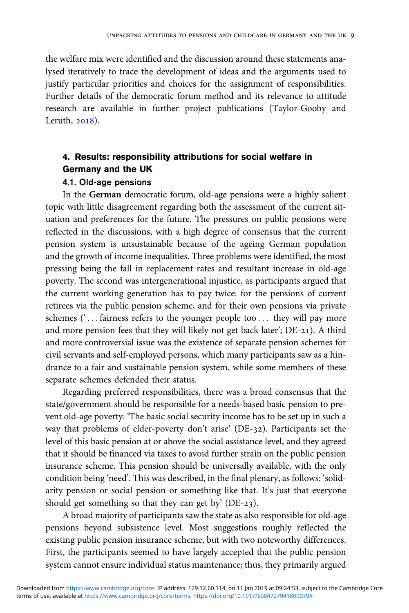the welfare mix were identified and the discussion around these statements analysed iteratively to trace the development of ideas and the arguments used to justify particular priorities and choices for the assignment of responsibilities. Further details of the democratic forum method and its relevance to attitude research are available in further project publications (Taylor-Gooby and Leruth,  $2018$ ).

#### 4. Results: responsibility attributions for social welfare in Germany and the UK

#### 4.1. Old-age pensions

In the German democratic forum, old-age pensions were a highly salient topic with little disagreement regarding both the assessment of the current situation and preferences for the future. The pressures on public pensions were reflected in the discussions, with a high degree of consensus that the current pension system is unsustainable because of the ageing German population and the growth of income inequalities. Three problems were identified, the most pressing being the fall in replacement rates and resultant increase in old-age poverty. The second was intergenerational injustice, as participants argued that the current working generation has to pay twice: for the pensions of current retirees via the public pension scheme, and for their own pensions via private schemes ( $\langle \cdot \rangle$ ... fairness refers to the younger people too  $\ldots$  they will pay more and more pension fees that they will likely not get back later'; DE-21). A third and more controversial issue was the existence of separate pension schemes for civil servants and self-employed persons, which many participants saw as a hindrance to a fair and sustainable pension system, while some members of these separate schemes defended their status.

Regarding preferred responsibilities, there was a broad consensus that the state/government should be responsible for a needs-based basic pension to prevent old-age poverty: 'The basic social security income has to be set up in such a way that problems of elder-poverty don't arise' (DE-32). Participants set the level of this basic pension at or above the social assistance level, and they agreed that it should be financed via taxes to avoid further strain on the public pension insurance scheme. This pension should be universally available, with the only condition being 'need'. This was described, in the final plenary, as follows: 'solidarity pension or social pension or something like that. It's just that everyone should get something so that they can get by' (DE-23).

A broad majority of participants saw the state as also responsible for old-age pensions beyond subsistence level. Most suggestions roughly reflected the existing public pension insurance scheme, but with two noteworthy differences. First, the participants seemed to have largely accepted that the public pension system cannot ensure individual status maintenance; thus, they primarily argued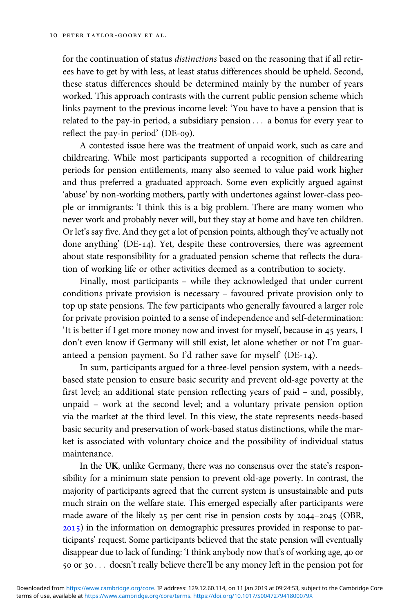for the continuation of status *distinctions* based on the reasoning that if all retirees have to get by with less, at least status differences should be upheld. Second, these status differences should be determined mainly by the number of years worked. This approach contrasts with the current public pension scheme which links payment to the previous income level: 'You have to have a pension that is related to the pay-in period, a subsidiary pension . . . a bonus for every year to reflect the pay-in period' (DE-09).

A contested issue here was the treatment of unpaid work, such as care and childrearing. While most participants supported a recognition of childrearing periods for pension entitlements, many also seemed to value paid work higher and thus preferred a graduated approach. Some even explicitly argued against 'abuse' by non-working mothers, partly with undertones against lower-class people or immigrants: 'I think this is a big problem. There are many women who never work and probably never will, but they stay at home and have ten children. Or let's say five. And they get a lot of pension points, although they've actually not done anything' ( $DE-14$ ). Yet, despite these controversies, there was agreement about state responsibility for a graduated pension scheme that reflects the duration of working life or other activities deemed as a contribution to society.

Finally, most participants – while they acknowledged that under current conditions private provision is necessary – favoured private provision only to top up state pensions. The few participants who generally favoured a larger role for private provision pointed to a sense of independence and self-determination: 'It is better if I get more money now and invest for myself, because in 45 years, I don't even know if Germany will still exist, let alone whether or not I'm guaranteed a pension payment. So I'd rather save for myself' (DE-14).

In sum, participants argued for a three-level pension system, with a needsbased state pension to ensure basic security and prevent old-age poverty at the first level; an additional state pension reflecting years of paid – and, possibly, unpaid – work at the second level; and a voluntary private pension option via the market at the third level. In this view, the state represents needs-based basic security and preservation of work-based status distinctions, while the market is associated with voluntary choice and the possibility of individual status maintenance.

In the UK, unlike Germany, there was no consensus over the state's responsibility for a minimum state pension to prevent old-age poverty. In contrast, the majority of participants agreed that the current system is unsustainable and puts much strain on the welfare state. This emerged especially after participants were made aware of the likely 25 per cent rise in pension costs by 2044-2045 (OBR, ) in the information on demographic pressures provided in response to participants' request. Some participants believed that the state pension will eventually disappear due to lack of funding: 'I think anybody now that's of working age, 40 or 50 or 30... doesn't really believe there'll be any money left in the pension pot for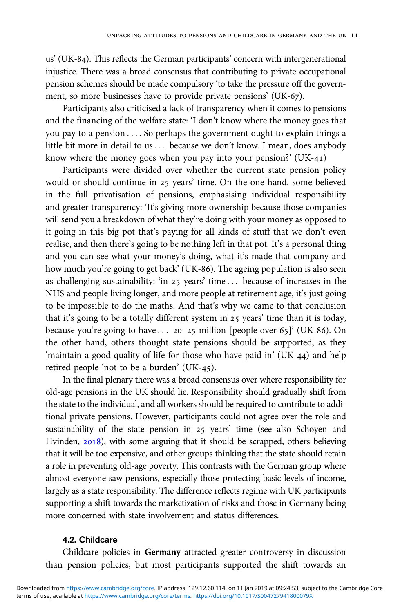us' (UK-84). This reflects the German participants' concern with intergenerational injustice. There was a broad consensus that contributing to private occupational pension schemes should be made compulsory 'to take the pressure off the government, so more businesses have to provide private pensions' (UK-67).

Participants also criticised a lack of transparency when it comes to pensions and the financing of the welfare state: 'I don't know where the money goes that you pay to a pension .... So perhaps the government ought to explain things a little bit more in detail to us ... because we don't know. I mean, does anybody know where the money goes when you pay into your pension?'  $(UK-41)$ 

Participants were divided over whether the current state pension policy would or should continue in 25 years' time. On the one hand, some believed in the full privatisation of pensions, emphasising individual responsibility and greater transparency: 'It's giving more ownership because those companies will send you a breakdown of what they're doing with your money as opposed to it going in this big pot that's paying for all kinds of stuff that we don't even realise, and then there's going to be nothing left in that pot. It's a personal thing and you can see what your money's doing, what it's made that company and how much you're going to get back' (UK-86). The ageing population is also seen as challenging sustainability: 'in  $25$  years' time  $\ldots$  because of increases in the NHS and people living longer, and more people at retirement age, it's just going to be impossible to do the maths. And that's why we came to that conclusion that it's going to be a totally different system in 25 years' time than it is today, because you're going to have  $\dots$  20-25 million [people over 65]' (UK-86). On the other hand, others thought state pensions should be supported, as they 'maintain a good quality of life for those who have paid in' (UK-44) and help retired people 'not to be a burden' (UK-45).

In the final plenary there was a broad consensus over where responsibility for old-age pensions in the UK should lie. Responsibility should gradually shift from the state to the individual, and all workers should be required to contribute to additional private pensions. However, participants could not agree over the role and sustainability of the state pension in 25 years' time (see also Schøyen and Hvinden, 2018), with some arguing that it should be scrapped, others believing that it will be too expensive, and other groups thinking that the state should retain a role in preventing old-age poverty. This contrasts with the German group where almost everyone saw pensions, especially those protecting basic levels of income, largely as a state responsibility. The difference reflects regime with UK participants supporting a shift towards the marketization of risks and those in Germany being more concerned with state involvement and status differences.

#### 4.2. Childcare

Childcare policies in Germany attracted greater controversy in discussion than pension policies, but most participants supported the shift towards an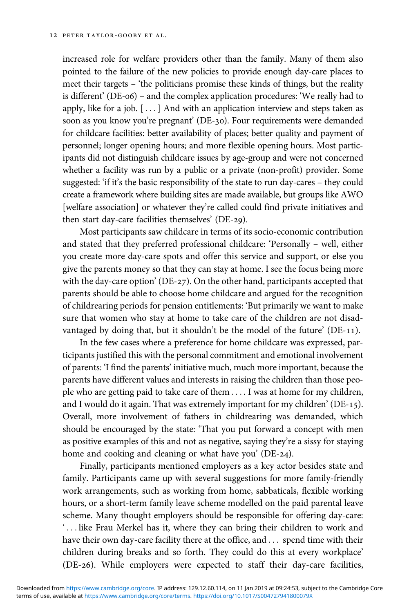increased role for welfare providers other than the family. Many of them also pointed to the failure of the new policies to provide enough day-care places to meet their targets – 'the politicians promise these kinds of things, but the reality is different' (DE-06) – and the complex application procedures: 'We really had to apply, like for a job.  $[...]$  And with an application interview and steps taken as soon as you know you're pregnant' (DE-30). Four requirements were demanded for childcare facilities: better availability of places; better quality and payment of personnel; longer opening hours; and more flexible opening hours. Most participants did not distinguish childcare issues by age-group and were not concerned whether a facility was run by a public or a private (non-profit) provider. Some suggested: 'if it's the basic responsibility of the state to run day-cares – they could create a framework where building sites are made available, but groups like AWO [welfare association] or whatever they're called could find private initiatives and then start day-care facilities themselves' (DE-29).

Most participants saw childcare in terms of its socio-economic contribution and stated that they preferred professional childcare: 'Personally – well, either you create more day-care spots and offer this service and support, or else you give the parents money so that they can stay at home. I see the focus being more with the day-care option' (DE-27). On the other hand, participants accepted that parents should be able to choose home childcare and argued for the recognition of childrearing periods for pension entitlements: 'But primarily we want to make sure that women who stay at home to take care of the children are not disadvantaged by doing that, but it shouldn't be the model of the future' (DE-11).

In the few cases where a preference for home childcare was expressed, participants justified this with the personal commitment and emotional involvement of parents: 'I find the parents' initiative much, much more important, because the parents have different values and interests in raising the children than those people who are getting paid to take care of them . . . . I was at home for my children, and I would do it again. That was extremely important for my children' (DE-15). Overall, more involvement of fathers in childrearing was demanded, which should be encouraged by the state: 'That you put forward a concept with men as positive examples of this and not as negative, saying they're a sissy for staying home and cooking and cleaning or what have you' (DE-24).

Finally, participants mentioned employers as a key actor besides state and family. Participants came up with several suggestions for more family-friendly work arrangements, such as working from home, sabbaticals, flexible working hours, or a short-term family leave scheme modelled on the paid parental leave scheme. Many thought employers should be responsible for offering day-care: '... like Frau Merkel has it, where they can bring their children to work and have their own day-care facility there at the office, and . . . spend time with their children during breaks and so forth. They could do this at every workplace' (DE-26). While employers were expected to staff their day-care facilities,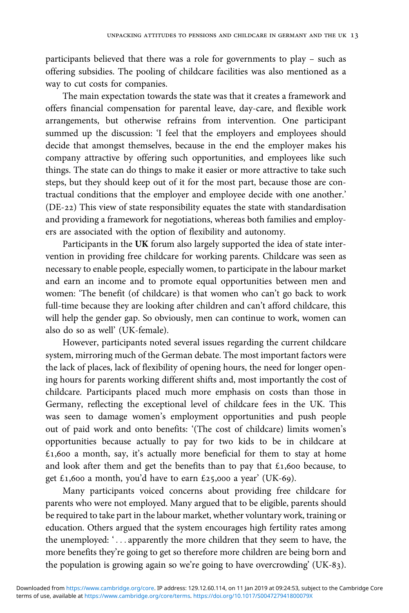<span id="page-13-0"></span>participants believed that there was a role for governments to play – such as offering subsidies. The pooling of childcare facilities was also mentioned as a way to cut costs for companies.

The main expectation towards the state was that it creates a framework and offers financial compensation for parental leave, day-care, and flexible work arrangements, but otherwise refrains from intervention. One participant summed up the discussion: 'I feel that the employers and employees should decide that amongst themselves, because in the end the employer makes his company attractive by offering such opportunities, and employees like such things. The state can do things to make it easier or more attractive to take such steps, but they should keep out of it for the most part, because those are contractual conditions that the employer and employee decide with one another.' (DE-22) This view of state responsibility equates the state with standardisation and providing a framework for negotiations, whereas both families and employers are associated with the option of flexibility and autonomy.

Participants in the UK forum also largely supported the idea of state intervention in providing free childcare for working parents. Childcare was seen as necessary to enable people, especially women, to participate in the labour market and earn an income and to promote equal opportunities between men and women: 'The benefit (of childcare) is that women who can't go back to work full-time because they are looking after children and can't afford childcare, this will help the gender gap. So obviously, men can continue to work, women can also do so as well' (UK-female).

However, participants noted several issues regarding the current childcare system, mirroring much of the German debate. The most important factors were the lack of places, lack of flexibility of opening hours, the need for longer opening hours for parents working different shifts and, most importantly the cost of childcare. Participants placed much more emphasis on costs than those in Germany, reflecting the exceptional level of childcare fees in the UK. This was seen to damage women's employment opportunities and push people out of paid work and onto benefits: '(The cost of childcare) limits women's opportunities because actually to pay for two kids to be in childcare at  $£1,600$  a month, say, it's actually more beneficial for them to stay at home and look after them and get the benefits than to pay that  $£1,600$  because, to get  $\text{\textsterling}1,600$  a month, you'd have to earn  $\text{\textsterling}25,000$  a year' (UK-69).

Many participants voiced concerns about providing free childcare for parents who were not employed. Many argued that to be eligible, parents should be required to take part in the labour market, whether voluntary work, training or education. Others argued that the system encourages high fertility rates among the unemployed: '... apparently the more children that they seem to have, the more benefits they're going to get so therefore more children are being born and the population is growing again so we're going to have overcrowding'  $(UK-8<sub>3</sub>)$ .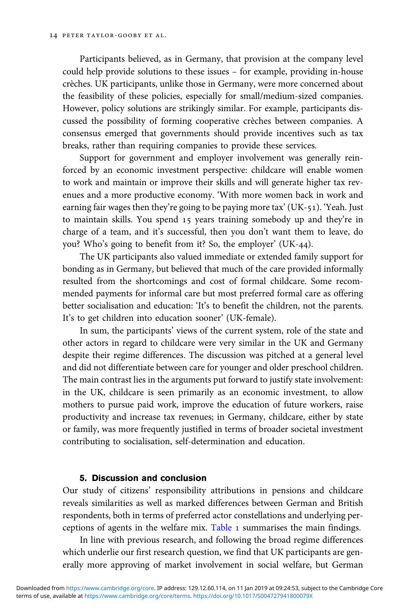Participants believed, as in Germany, that provision at the company level could help provide solutions to these issues – for example, providing in-house crèches. UK participants, unlike those in Germany, were more concerned about the feasibility of these policies, especially for small/medium-sized companies. However, policy solutions are strikingly similar. For example, participants discussed the possibility of forming cooperative crèches between companies. A consensus emerged that governments should provide incentives such as tax breaks, rather than requiring companies to provide these services.

Support for government and employer involvement was generally reinforced by an economic investment perspective: childcare will enable women to work and maintain or improve their skills and will generate higher tax revenues and a more productive economy. 'With more women back in work and earning fair wages then they're going to be paying more tax' (UK-51). 'Yeah. Just to maintain skills. You spend 15 years training somebody up and they're in charge of a team, and it's successful, then you don't want them to leave, do you? Who's going to benefit from it? So, the employer' (UK-44).

The UK participants also valued immediate or extended family support for bonding as in Germany, but believed that much of the care provided informally resulted from the shortcomings and cost of formal childcare. Some recommended payments for informal care but most preferred formal care as offering better socialisation and education: 'It's to benefit the children, not the parents. It's to get children into education sooner' (UK-female).

In sum, the participants' views of the current system, role of the state and other actors in regard to childcare were very similar in the UK and Germany despite their regime differences. The discussion was pitched at a general level and did not differentiate between care for younger and older preschool children. The main contrast lies in the arguments put forward to justify state involvement: in the UK, childcare is seen primarily as an economic investment, to allow mothers to pursue paid work, improve the education of future workers, raise productivity and increase tax revenues; in Germany, childcare, either by state or family, was more frequently justified in terms of broader societal investment contributing to socialisation, self-determination and education.

#### 5. Discussion and conclusion

Our study of citizens' responsibility attributions in pensions and childcare reveals similarities as well as marked differences between German and British respondents, both in terms of preferred actor constellations and underlying perceptions of agents in the welfare mix. Table 1 summarises the main findings.

In line with previous research, and following the broad regime differences which underlie our first research question, we find that UK participants are generally more approving of market involvement in social welfare, but German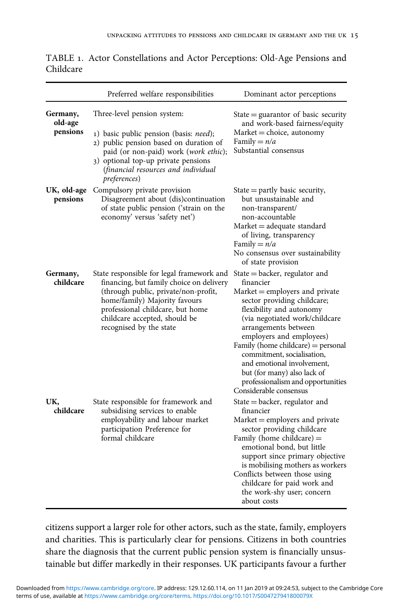|                                 | Preferred welfare responsibilities                                                                                                                                                                                                                             | Dominant actor perceptions                                                                                                                                                                                                                                                                                                                                                                                                        |
|---------------------------------|----------------------------------------------------------------------------------------------------------------------------------------------------------------------------------------------------------------------------------------------------------------|-----------------------------------------------------------------------------------------------------------------------------------------------------------------------------------------------------------------------------------------------------------------------------------------------------------------------------------------------------------------------------------------------------------------------------------|
| Germany,<br>old-age<br>pensions | Three-level pension system:<br>1) basic public pension (basis: <i>need</i> );<br>2) public pension based on duration of<br>paid (or non-paid) work (work ethic);<br>3) optional top-up private pensions<br>(financial resources and individual<br>preferences) | State $=$ guarantor of basic security<br>and work-based fairness/equity<br>$Market = choice, automomy$<br>Family = $n/a$<br>Substantial consensus                                                                                                                                                                                                                                                                                 |
| UK, old-age<br>pensions         | Compulsory private provision<br>Disagreement about (dis)continuation<br>of state public pension ('strain on the<br>economy' versus 'safety net')                                                                                                               | State $=$ partly basic security,<br>but unsustainable and<br>non-transparent/<br>non-accountable<br>$Market = adequate standard$<br>of living, transparency<br>Family = $n/a$<br>No consensus over sustainability<br>of state provision                                                                                                                                                                                           |
| Germany,<br>childcare           | State responsible for legal framework and<br>financing, but family choice on delivery<br>(through public, private/non-profit,<br>home/family) Majority favours<br>professional childcare, but home<br>childcare accepted, should be<br>recognised by the state | State $=$ backer, regulator and<br>financier<br>$Market = employers and private$<br>sector providing childcare;<br>flexibility and autonomy<br>(via negotiated work/childcare<br>arrangements between<br>employers and employees)<br>Family (home childcare) = personal<br>commitment, socialisation,<br>and emotional involvement.<br>but (for many) also lack of<br>professionalism and opportunities<br>Considerable consensus |
| UK,<br>childcare                | State responsible for framework and<br>subsidising services to enable<br>employability and labour market<br>participation Preference for<br>formal childcare                                                                                                   | State $=$ backer, regulator and<br>financier<br>$Market = employees and private$<br>sector providing childcare<br>Family (home childcare) $=$<br>emotional bond, but little<br>support since primary objective<br>is mobilising mothers as workers<br>Conflicts between those using<br>childcare for paid work and<br>the work-shy user; concern<br>about costs                                                                   |

TABLE . Actor Constellations and Actor Perceptions: Old-Age Pensions and Childcare

citizens support a larger role for other actors, such as the state, family, employers and charities. This is particularly clear for pensions. Citizens in both countries share the diagnosis that the current public pension system is financially unsustainable but differ markedly in their responses. UK participants favour a further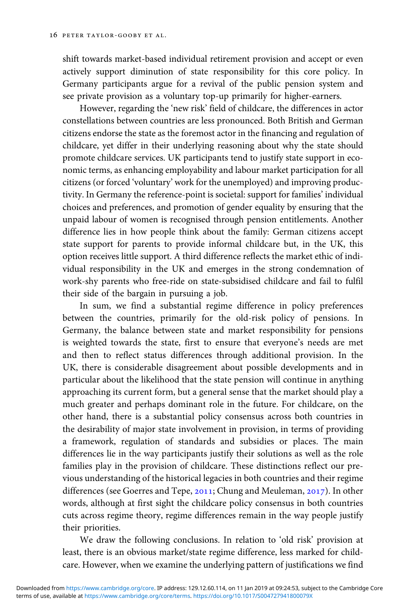<span id="page-16-0"></span>shift towards market-based individual retirement provision and accept or even actively support diminution of state responsibility for this core policy. In Germany participants argue for a revival of the public pension system and see private provision as a voluntary top-up primarily for higher-earners.

However, regarding the 'new risk' field of childcare, the differences in actor constellations between countries are less pronounced. Both British and German citizens endorse the state as the foremost actor in the financing and regulation of childcare, yet differ in their underlying reasoning about why the state should promote childcare services. UK participants tend to justify state support in economic terms, as enhancing employability and labour market participation for all citizens (or forced 'voluntary' work for the unemployed) and improving productivity. In Germany the reference-point is societal: support for families' individual choices and preferences, and promotion of gender equality by ensuring that the unpaid labour of women is recognised through pension entitlements. Another difference lies in how people think about the family: German citizens accept state support for parents to provide informal childcare but, in the UK, this option receives little support. A third difference reflects the market ethic of individual responsibility in the UK and emerges in the strong condemnation of work-shy parents who free-ride on state-subsidised childcare and fail to fulfil their side of the bargain in pursuing a job.

In sum, we find a substantial regime difference in policy preferences between the countries, primarily for the old-risk policy of pensions. In Germany, the balance between state and market responsibility for pensions is weighted towards the state, first to ensure that everyone's needs are met and then to reflect status differences through additional provision. In the UK, there is considerable disagreement about possible developments and in particular about the likelihood that the state pension will continue in anything approaching its current form, but a general sense that the market should play a much greater and perhaps dominant role in the future. For childcare, on the other hand, there is a substantial policy consensus across both countries in the desirability of major state involvement in provision, in terms of providing a framework, regulation of standards and subsidies or places. The main differences lie in the way participants justify their solutions as well as the role families play in the provision of childcare. These distinctions reflect our previous understanding of the historical legacies in both countries and their regime differences (see Goerres and Tepe, 2011; Chung and Meuleman, 2017). In other words, although at first sight the childcare policy consensus in both countries cuts across regime theory, regime differences remain in the way people justify their priorities.

We draw the following conclusions. In relation to 'old risk' provision at least, there is an obvious market/state regime difference, less marked for childcare. However, when we examine the underlying pattern of justifications we find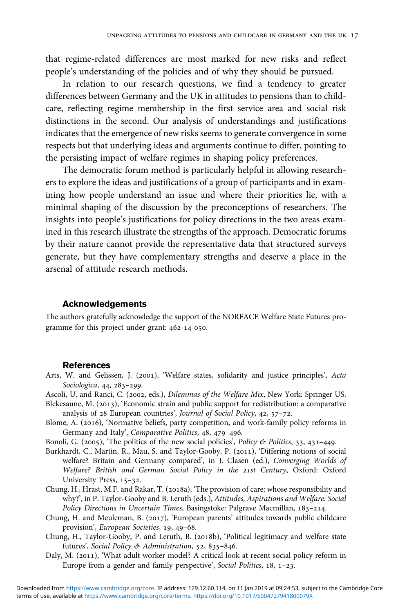<span id="page-17-0"></span>that regime-related differences are most marked for new risks and reflect people's understanding of the policies and of why they should be pursued.

In relation to our research questions, we find a tendency to greater differences between Germany and the UK in attitudes to pensions than to childcare, reflecting regime membership in the first service area and social risk distinctions in the second. Our analysis of understandings and justifications indicates that the emergence of new risks seems to generate convergence in some respects but that underlying ideas and arguments continue to differ, pointing to the persisting impact of welfare regimes in shaping policy preferences.

The democratic forum method is particularly helpful in allowing researchers to explore the ideas and justifications of a group of participants and in examining how people understand an issue and where their priorities lie, with a minimal shaping of the discussion by the preconceptions of researchers. The insights into people's justifications for policy directions in the two areas examined in this research illustrate the strengths of the approach. Democratic forums by their nature cannot provide the representative data that structured surveys generate, but they have complementary strengths and deserve a place in the arsenal of attitude research methods.

#### Acknowledgements

The authors gratefully acknowledge the support of the NORFACE Welfare State Futures programme for this project under grant: 462-14-050.

#### References

- Arts, W. and Gelissen, J. (2001), 'Welfare states, solidarity and justice principles', Acta Sociologica, 44, 283-299.
- Ascoli, U. and Ranci, C. (2002, eds.), *Dilemmas of the Welfare Mix*, New York: Springer US. Blekesaune, M. (2013), 'Economic strain and public support for redistribution: a comparative
- analysis of 28 European countries', *Journal of Social Policy*, 42, 57-72.
- Blome, A. (2016), 'Normative beliefs, party competition, and work-family policy reforms in Germany and Italy', *Comparative Politics*, 48, 479-496.
- Bonoli, G. (2005), 'The politics of the new social policies', *Policy & Politics*, 33, 431-449.
- Burkhardt, C., Martin, R., Mau, S. and Taylor-Gooby, P. (2011), 'Differing notions of social welfare? Britain and Germany compared', in J. Clasen (ed.), *Converging Worlds of Welfare? British and German Social Policy in the 21st Century*, Oxford: Oxford University Press, 15-32.
- Chung, H., Hrast, M.F. and Rakar, T. (2018a), 'The provision of care: whose responsibility and why?', in P. Taylor-Gooby and B. Leruth (eds.), *Attitudes, Aspirations and Welfare: Social Policy Directions in Uncertain Times*, Basingstoke: Palgrave Macmillan, 183-214.
- Chung, H. and Meuleman, B. (2017), 'European parents' attitudes towards public childcare provision', *European Societies*, 19, 49-68.
- Chung, H., Taylor-Gooby, P. and Leruth, B. (2018b), 'Political legitimacy and welfare state futures', *Social Policy & Administration*, 52, 835-846.
- Daly, M. (2011), 'What adult worker model? A critical look at recent social policy reform in Europe from a gender and family perspective', *Social Politics*, 18, 1-23.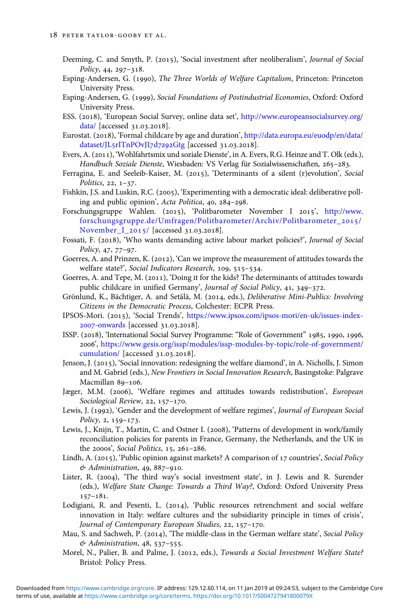- <span id="page-18-0"></span>Deeming, C. and Smyth, P. (2015), 'Social investment after neoliberalism', *Journal of Social Policy*, 44, 297-318.
- Esping-Andersen, G. (1990), *The Three Worlds of Welfare Capitalism*, Princeton: Princeton University Press.
- Esping-Andersen, G. (), *Social Foundations of Postindustrial Economies*, Oxford: Oxford University Press.
- ESS. (2018), 'European Social Survey, online data set', [http://www.europeansocialsurvey.org/](http://www.europeansocialsurvey.org/data/) [data/](http://www.europeansocialsurvey.org/data/) [accessed 31.03.2018].
- Eurostat. (2018), 'Formal childcare by age and duration', [http://data.europa.eu/euodp/en/data/](http://data.europa.eu/euodp/en/data/dataset/JL5rITnPOvJI7d7z92Gtg) dataset/JL5[rITnPOvJI](http://data.europa.eu/euodp/en/data/dataset/JL5rITnPOvJI7d7z92Gtg)7d7z92Gtg [accessed 31.03.2018].
- Evers, A. (2011), 'Wohlfahrtsmix und soziale Dienste', in A. Evers, R.G. Heinze and T. Olk (eds.), Handbuch Soziale Dienste, Wiesbaden: VS Verlag für Sozialwissenschaften, 265-283.
- Ferragina, E. and Seeleib-Kaiser, M. (2015), 'Determinants of a silent (r)evolution', *Social Politics*, 22, 1-37.
- Fishkin, J.S. and Luskin, R.C. (2005), 'Experimenting with a democratic ideal: deliberative polling and public opinion', *Acta Politica*, 40, 284-298.
- Forschungsgruppe Wahlen. (2015), 'Politbarometer November I 2015', [http://www.](http://www.forschungsgruppe.de/Umfragen/Politbarometer/Archiv/Politbarometer_2015/November_I_2015/) [forschungsgruppe.de/Umfragen/Politbarometer/Archiv/Politbarometer\\_](http://www.forschungsgruppe.de/Umfragen/Politbarometer/Archiv/Politbarometer_2015/November_I_2015/)/ November I 2015/ [accessed 31.03.2018].
- Fossati, F. (2018), 'Who wants demanding active labour market policies?', *Journal of Social Policy*, 47, 77-97.
- Goerres, A. and Prinzen, K. (2012), 'Can we improve the measurement of attitudes towards the welfare state?', *Social Indicators Research*, 109, 515-534.
- Goerres, A. and Tepe, M. (2011), 'Doing it for the kids? The determinants of attitudes towards public childcare in unified Germany', *Journal of Social Policy*, 41, 349-372.
- Grönlund, K., Bächtiger, A. and Setälä, M. (2014, eds.), *Deliberative Mini-Publics: Involving Citizens in the Democratic Process*, Colchester: ECPR Press.
- IPSOS-Mori. (2015), 'Social Trends', [https://www.ipsos.com/ipsos-mori/en-uk/issues-index-](https://www.ipsos.com/ipsos-mori/en-uk/issues-index-2007-onwards) 2007[-onwards](https://www.ipsos.com/ipsos-mori/en-uk/issues-index-2007-onwards) [accessed 31.03.2018].
- ISSP. (2018), 'International Social Survey Programme: "Role of Government" 1985, 1990, 1996, ', [https://www.gesis.org/issp/modules/issp-modules-by-topic/role-of-government/](https://www.gesis.org/issp/modules/issp-modules-by-topic/role-of-government/cumulation/) [cumulation/](https://www.gesis.org/issp/modules/issp-modules-by-topic/role-of-government/cumulation/) [accessed 31.03.2018].
- Jenson, J. (2015), 'Social innovation: redesigning the welfare diamond', in A. Nicholls, J. Simon and M. Gabriel (eds.), *New Frontiers in Social Innovation Research*, Basingstoke: Palgrave Macmillan 89-106.
- Jæger, M.M. (2006), 'Welfare regimes and attitudes towards redistribution', *European Sociological Review*, 22, 157-170.
- Lewis, J. (1992), 'Gender and the development of welfare regimes', *Journal of European Social Policy*, 2, 159-173.
- Lewis, J., Knijn, T., Martin, C. and Ostner I. (2008), 'Patterns of development in work/family reconciliation policies for parents in France, Germany, the Netherlands, and the UK in the 2000s', *Social Politics*, 15, 261-286.
- Lindh, A. (2015), 'Public opinion against markets? A comparison of 17 countries', *Social Policy & Administration*, 49, 887-910.
- Lister, R. (2004), 'The third way's social investment state', in J. Lewis and R. Surender (eds.), *Welfare State Change: Towards a Third Way?*, Oxford: Oxford University Press  $157 - 181.$
- Lodigiani, R. and Pesenti, L. (2014), 'Public resources retrenchment and social welfare innovation in Italy: welfare cultures and the subsidiarity principle in times of crisis', *Journal of Contemporary European Studies*, 22, 157–170.
- Mau, S. and Sachweh, P. (2014), 'The middle-class in the German welfare state', *Social Policy*  $&$  Administration, 48, 537-555.
- Morel, N., Palier, B. and Palme, J. (2012, eds.), *Towards a Social Investment Welfare State?* Bristol: Policy Press.